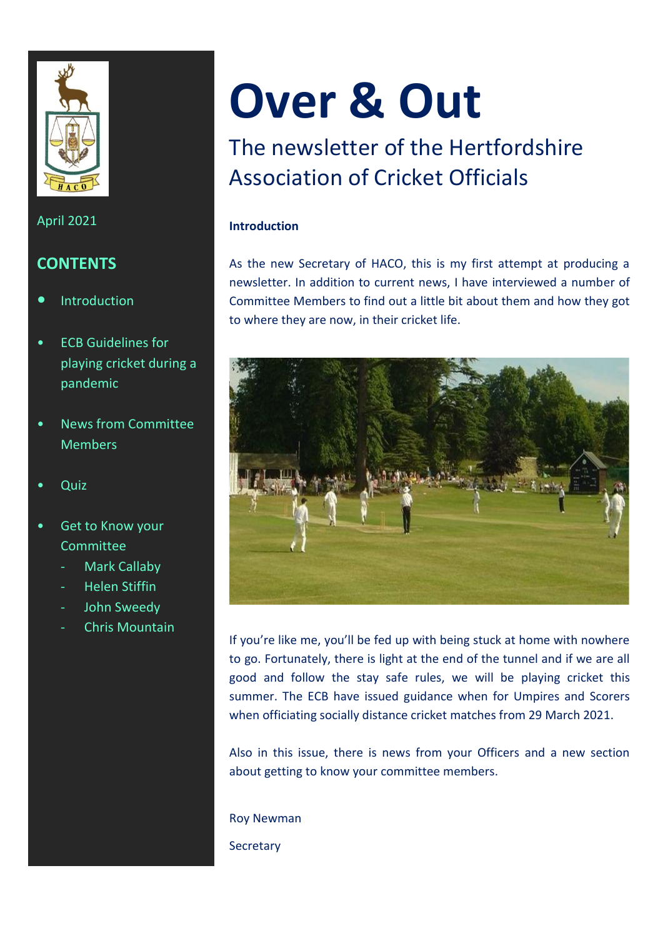

# April 2021

# **CONTENTS**

- **•** Introduction
- ECB Guidelines for playing cricket during a pandemic
- News from Committee Members
- Quiz
- Get to Know your **Committee** 
	- Mark Callaby
	- Helen Stiffin
	- John Sweedy
	- Chris Mountain

# **Over & Out**

# The newsletter of the Hertfordshire Association of Cricket Officials

# **Introduction**

As the new Secretary of HACO, this is my first attempt at producing a newsletter. In addition to current news, I have interviewed a number of Committee Members to find out a little bit about them and how they got to where they are now, in their cricket life.



If you're like me, you'll be fed up with being stuck at home with nowhere to go. Fortunately, there is light at the end of the tunnel and if we are all good and follow the stay safe rules, we will be playing cricket this summer. The ECB have issued guidance when for Umpires and Scorers when officiating socially distance cricket matches from 29 March 2021.

Also in this issue, there is news from your Officers and a new section about getting to know your committee members.

Roy Newman **Secretary**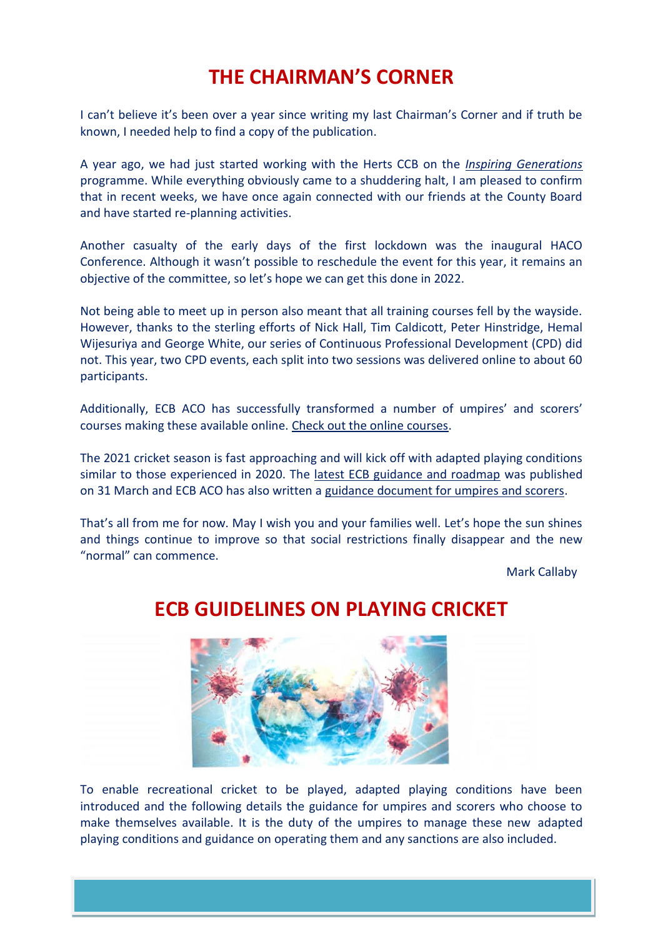# **THE CHAIRMAN'S CORNER**

I can't believe it's been over a year since writing my last Chairman's Corner and if truth be known, I needed help to find a copy of the publication.

A year ago, we had just started working with the Herts CCB on the *[Inspiring Generations](https://www.ecb.co.uk/news/2080194/cricket-is-a-game-for-me)* programme. While everything obviously came to a shuddering halt, I am pleased to confirm that in recent weeks, we have once again connected with our friends at the County Board and have started re-planning activities.

Another casualty of the early days of the first lockdown was the inaugural HACO Conference. Although it wasn't possible to reschedule the event for this year, it remains an objective of the committee, so let's hope we can get this done in 2022.

Not being able to meet up in person also meant that all training courses fell by the wayside. However, thanks to the sterling efforts of Nick Hall, Tim Caldicott, Peter Hinstridge, Hemal Wijesuriya and George White, our series of Continuous Professional Development (CPD) did not. This year, two CPD events, each split into two sessions was delivered online to about 60 participants.

Additionally, ECB ACO has successfully transformed a number of umpires' and scorers' courses making these available online. [Check out the online courses.](https://www.ecb.co.uk/be-involved/officials/find-a-course)

The 2021 cricket season is fast approaching and will kick off with adapted playing conditions similar to those experienced in 2020. The [latest ECB guidance and roadmap](https://www.ecb.co.uk/covid-19?utm_campaign=12277249_310321%20-%20Over%20and%20Out&utm_medium=Email&utm_source=Email_ACO&dm_i=1FZA,7B56P,OM8A14,TNC7M,1) was published on 31 March and ECB ACO has also written a [guidance document for umpires and scorers.](https://i.emlfiles4.com/cmpdoc/6/6/3/7/6/files/723492_aco-return-to-cricket-guidance---march-2021-2.pdf?utm_campaign=12277249_310321%20-%20Over%20and%20Out&utm_medium=Email&utm_source=Email_ACO&dm_i=1FZA,7B56P,OM8A14,TNCG6,1)

That's all from me for now. May I wish you and your families well. Let's hope the sun shines and things continue to improve so that social restrictions finally disappear and the new "normal" can commence.

Mark Callaby

# **ECB GUIDELINES ON PLAYING CRICKET**



To enable recreational cricket to be played, adapted playing conditions have been introduced and the following details the guidance for umpires and scorers who choose to make themselves available. It is the duty of the umpires to manage these new adapted playing conditions and guidance on operating them and any sanctions are also included.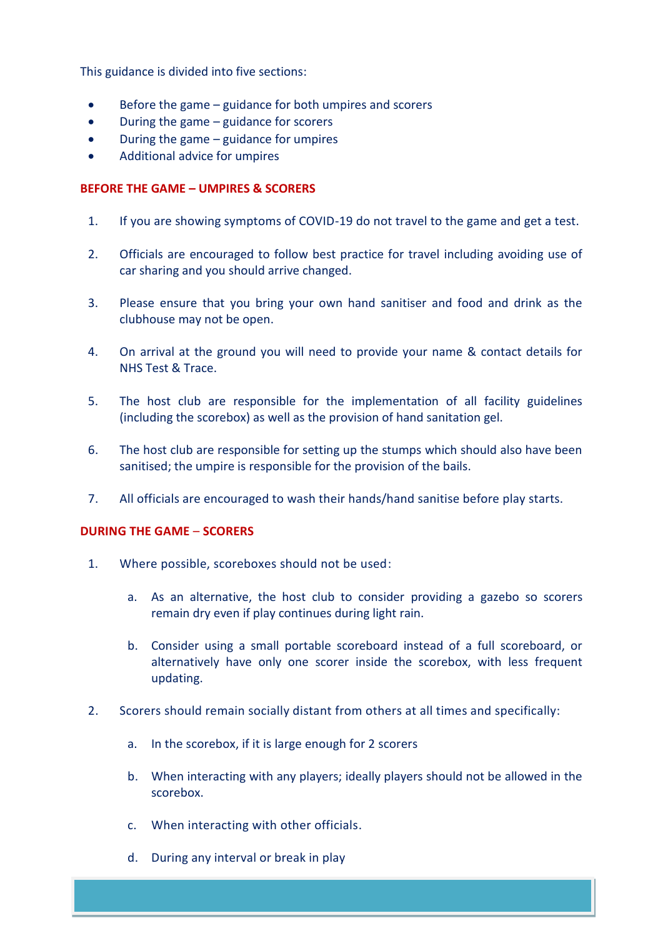This guidance is divided into five sections:

- $\bullet$  Before the game guidance for both umpires and scorers
- During the game guidance for scorers
- $\bullet$  During the game guidance for umpires
- Additional advice for umpires

# **BEFORE THE GAME – UMPIRES & SCORERS**

- 1. If you are showing symptoms of COVID-19 do not travel to the game and get a test.
- 2. Officials are encouraged to follow best practice for travel including avoiding use of car sharing and you should arrive changed.
- 3. Please ensure that you bring your own hand sanitiser and food and drink as the clubhouse may not be open.
- 4. On arrival at the ground you will need to provide your name & contact details for NHS Test & Trace.
- 5. The host club are responsible for the implementation of all facility guidelines (including the scorebox) as well as the provision of hand sanitation gel.
- 6. The host club are responsible for setting up the stumps which should also have been sanitised; the umpire is responsible for the provision of the bails.
- 7. All officials are encouraged to wash their hands/hand sanitise before play starts.

## **DURING THE GAME** – **SCORERS**

- 1. Where possible, scoreboxes should not be used:
	- a. As an alternative, the host club to consider providing a gazebo so scorers remain dry even if play continues during light rain.
	- b. Consider using a small portable scoreboard instead of a full scoreboard, or alternatively have only one scorer inside the scorebox, with less frequent updating.
- 2. Scorers should remain socially distant from others at all times and specifically:
	- a. In the scorebox, if it is large enough for 2 scorers
	- b. When interacting with any players; ideally players should not be allowed in the scorebox.
	- c. When interacting with other officials.
	- d. During any interval or break in play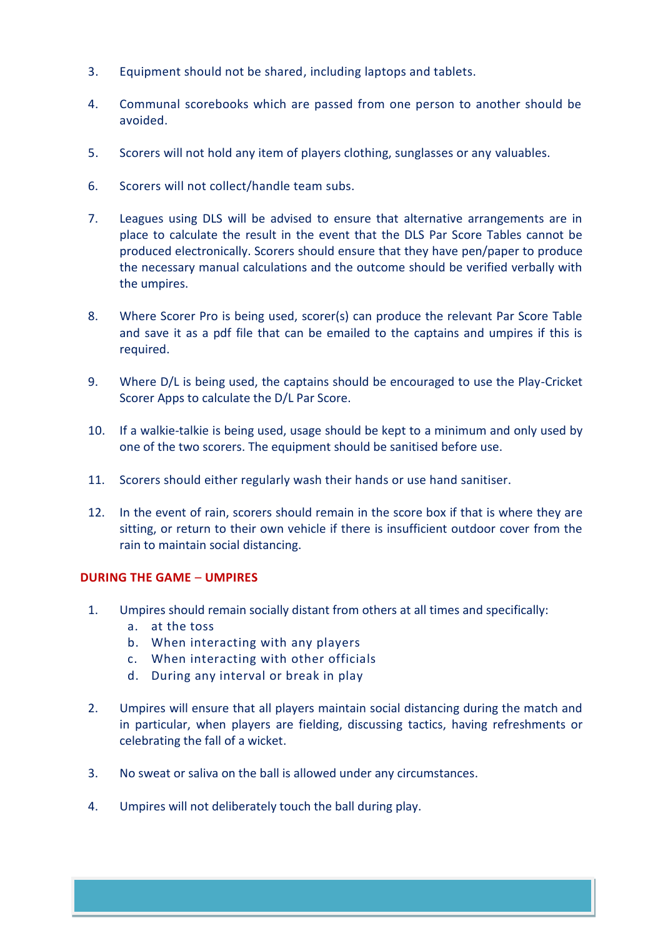- 3. Equipment should not be shared, including laptops and tablets.
- 4. Communal scorebooks which are passed from one person to another should be avoided.
- 5. Scorers will not hold any item of players clothing, sunglasses or any valuables.
- 6. Scorers will not collect/handle team subs.
- 7. Leagues using DLS will be advised to ensure that alternative arrangements are in place to calculate the result in the event that the DLS Par Score Tables cannot be produced electronically. Scorers should ensure that they have pen/paper to produce the necessary manual calculations and the outcome should be verified verbally with the umpires.
- 8. Where Scorer Pro is being used, scorer(s) can produce the relevant Par Score Table and save it as a pdf file that can be emailed to the captains and umpires if this is required.
- 9. Where D/L is being used, the captains should be encouraged to use the Play-Cricket Scorer Apps to calculate the D/L Par Score.
- 10. If a walkie-talkie is being used, usage should be kept to a minimum and only used by one of the two scorers. The equipment should be sanitised before use.
- 11. Scorers should either regularly wash their hands or use hand sanitiser.
- 12. In the event of rain, scorers should remain in the score box if that is where they are sitting, or return to their own vehicle if there is insufficient outdoor cover from the rain to maintain social distancing.

# **DURING THE GAME** – **UMPIRES**

- 1. Umpires should remain socially distant from others at all times and specifically:
	- a. at the toss
	- b. When interacting with any players
	- c. When interacting with other officials
	- d. During any interval or break in play
- 2. Umpires will ensure that all players maintain social distancing during the match and in particular, when players are fielding, discussing tactics, having refreshments or celebrating the fall of a wicket.
- 3. No sweat or saliva on the ball is allowed under any circumstances.
- 4. Umpires will not deliberately touch the ball during play.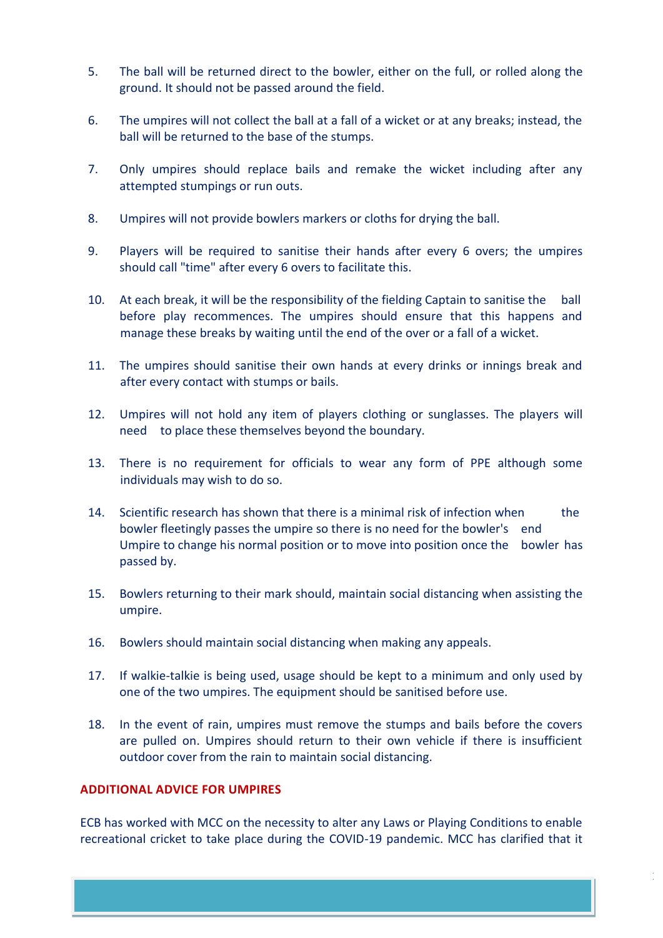- 5. The ball will be returned direct to the bowler, either on the full, or rolled along the ground. It should not be passed around the field.
- 6. The umpires will not collect the ball at a fall of a wicket or at any breaks; instead, the ball will be returned to the base of the stumps.
- 7. Only umpires should replace bails and remake the wicket including after any attempted stumpings or run outs.
- 8. Umpires will not provide bowlers markers or cloths for drying the ball.
- 9. Players will be required to sanitise their hands after every 6 overs; the umpires should call "time" after every 6 overs to facilitate this.
- 10. At each break, it will be the responsibility of the fielding Captain to sanitise the ball before play recommences. The umpires should ensure that this happens and manage these breaks by waiting until the end of the over or a fall of a wicket.
- 11. The umpires should sanitise their own hands at every drinks or innings break and after every contact with stumps or bails.
- 12. Umpires will not hold any item of players clothing or sunglasses. The players will need to place these themselves beyond the boundary.
- 13. There is no requirement for officials to wear any form of PPE although some individuals may wish to do so.
- 14. Scientific research has shown that there is a minimal risk of infection when the bowler fleetingly passes the umpire so there is no need for the bowler's end Umpire to change his normal position or to move into position once the bowler has passed by.
- 15. Bowlers returning to their mark should, maintain social distancing when assisting the umpire.
- 16. Bowlers should maintain social distancing when making any appeals.
- 17. If walkie-talkie is being used, usage should be kept to a minimum and only used by one of the two umpires. The equipment should be sanitised before use.
- 18. In the event of rain, umpires must remove the stumps and bails before the covers are pulled on. Umpires should return to their own vehicle if there is insufficient outdoor cover from the rain to maintain social distancing.

# **ADDITIONAL ADVICE FOR UMPIRES**

ECB has worked with MCC on the necessity to alter any Laws or Playing Conditions to enable recreational cricket to take place during the COVID-19 pandemic. MCC has clarified that it

1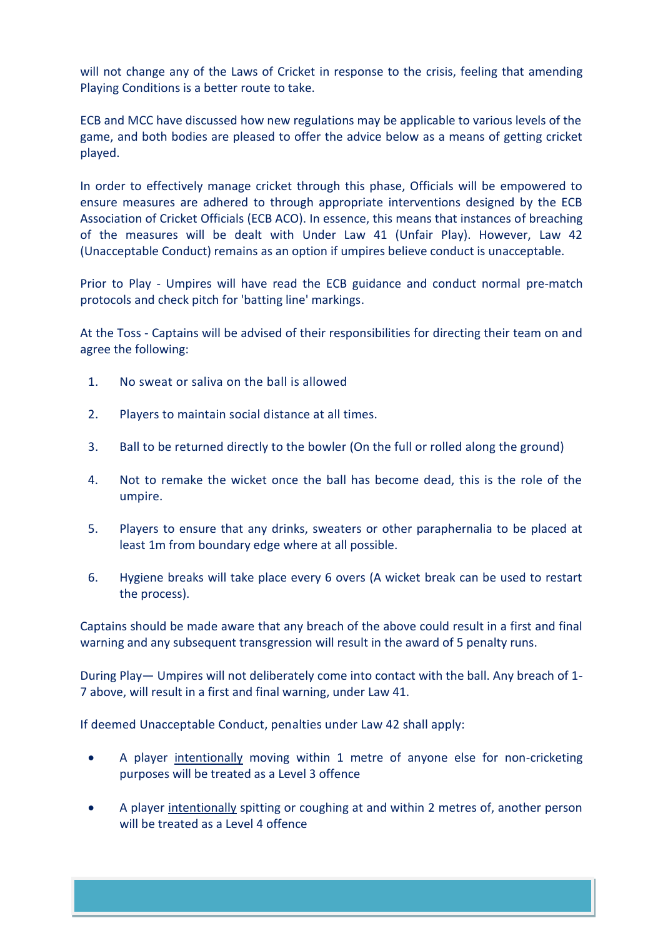will not change any of the Laws of Cricket in response to the crisis, feeling that amending Playing Conditions is a better route to take.

ECB and MCC have discussed how new regulations may be applicable to various levels of the game, and both bodies are pleased to offer the advice below as a means of getting cricket played.

In order to effectively manage cricket through this phase, Officials will be empowered to ensure measures are adhered to through appropriate interventions designed by the ECB Association of Cricket Officials (ECB ACO). In essence, this means that instances of breaching of the measures will be dealt with Under Law 41 (Unfair Play). However, Law 42 (Unacceptable Conduct) remains as an option if umpires believe conduct is unacceptable.

Prior to Play - Umpires will have read the ECB guidance and conduct normal pre-match protocols and check pitch for 'batting line' markings.

At the Toss - Captains will be advised of their responsibilities for directing their team on and agree the following:

- 1. No sweat or saliva on the ball is allowed
- 2. Players to maintain social distance at all times.
- 3. Ball to be returned directly to the bowler (On the full or rolled along the ground)
- 4. Not to remake the wicket once the ball has become dead, this is the role of the umpire.
- 5. Players to ensure that any drinks, sweaters or other paraphernalia to be placed at least 1m from boundary edge where at all possible.
- 6. Hygiene breaks will take place every 6 overs (A wicket break can be used to restart the process).

Captains should be made aware that any breach of the above could result in a first and final warning and any subsequent transgression will result in the award of 5 penalty runs.

During Play— Umpires will not deliberately come into contact with the ball. Any breach of 1- 7 above, will result in a first and final warning, under Law 41.

If deemed Unacceptable Conduct, penalties under Law 42 shall apply:

- A player intentionally moving within 1 metre of anyone else for non-cricketing purposes will be treated as a Level 3 offence
- A player intentionally spitting or coughing at and within 2 metres of, another person will be treated as a Level 4 offence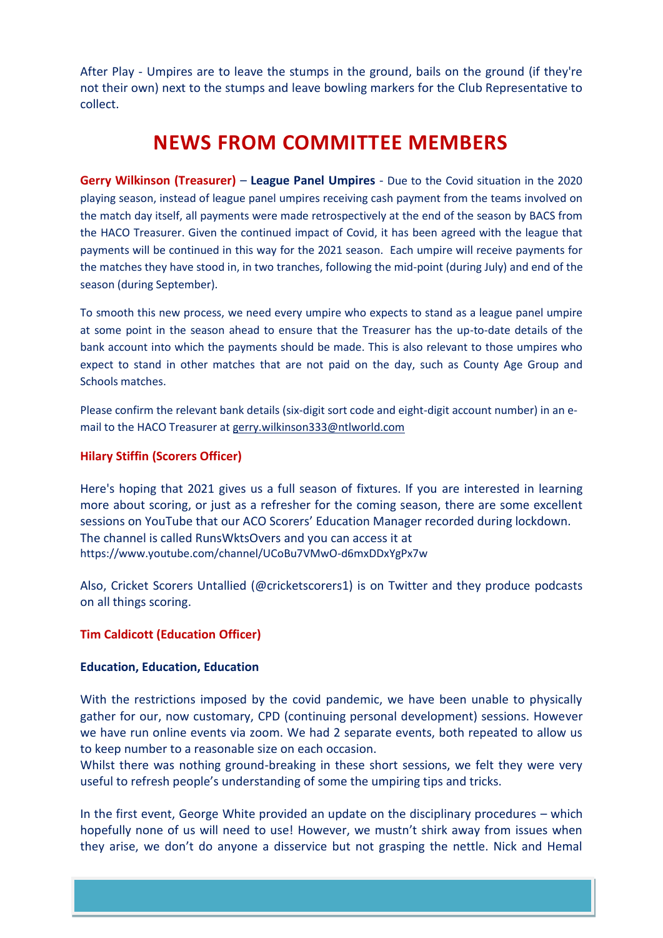After Play - Umpires are to leave the stumps in the ground, bails on the ground (if they're not their own) next to the stumps and leave bowling markers for the Club Representative to collect.

# **NEWS FROM COMMITTEE MEMBERS**

**Gerry Wilkinson (Treasurer)** – **League Panel Umpires** - Due to the Covid situation in the 2020 playing season, instead of league panel umpires receiving cash payment from the teams involved on the match day itself, all payments were made retrospectively at the end of the season by BACS from the HACO Treasurer. Given the continued impact of Covid, it has been agreed with the league that payments will be continued in this way for the 2021 season. Each umpire will receive payments for the matches they have stood in, in two tranches, following the mid-point (during July) and end of the season (during September).

To smooth this new process, we need every umpire who expects to stand as a league panel umpire at some point in the season ahead to ensure that the Treasurer has the up-to-date details of the bank account into which the payments should be made. This is also relevant to those umpires who expect to stand in other matches that are not paid on the day, such as County Age Group and Schools matches.

Please confirm the relevant bank details (six-digit sort code and eight-digit account number) in an email to the HACO Treasurer at [gerry.wilkinson333@ntlworld.com](mailto:gerry.wilkinson333@ntlworld.com)

# **Hilary Stiffin (Scorers Officer)**

Here's hoping that 2021 gives us a full season of fixtures. If you are interested in learning more about scoring, or just as a refresher for the coming season, there are some excellent sessions on YouTube that our ACO Scorers' Education Manager recorded during lockdown. The channel is called RunsWktsOvers and you can access it at <https://www.youtube.com/channel/UCoBu7VMwO-d6mxDDxYgPx7w>

Also, Cricket Scorers Untallied (@cricketscorers1) is on Twitter and they produce podcasts on all things scoring.

# **Tim Caldicott (Education Officer)**

# **Education, Education, Education**

With the restrictions imposed by the covid pandemic, we have been unable to physically gather for our, now customary, CPD (continuing personal development) sessions. However we have run online events via zoom. We had 2 separate events, both repeated to allow us to keep number to a reasonable size on each occasion.

Whilst there was nothing ground-breaking in these short sessions, we felt they were very useful to refresh people's understanding of some the umpiring tips and tricks.

In the first event, George White provided an update on the disciplinary procedures – which hopefully none of us will need to use! However, we mustn't shirk away from issues when they arise, we don't do anyone a disservice but not grasping the nettle. Nick and Hemal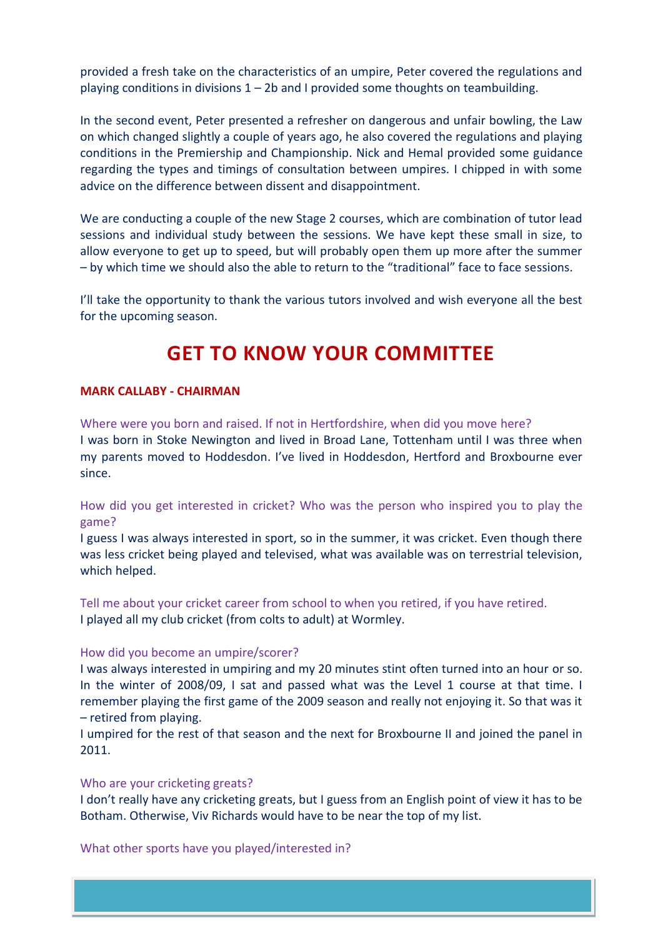provided a fresh take on the characteristics of an umpire, Peter covered the regulations and playing conditions in divisions  $1 - 2b$  and I provided some thoughts on teambuilding.

In the second event, Peter presented a refresher on dangerous and unfair bowling, the Law on which changed slightly a couple of years ago, he also covered the regulations and playing conditions in the Premiership and Championship. Nick and Hemal provided some guidance regarding the types and timings of consultation between umpires. I chipped in with some advice on the difference between dissent and disappointment.

We are conducting a couple of the new Stage 2 courses, which are combination of tutor lead sessions and individual study between the sessions. We have kept these small in size, to allow everyone to get up to speed, but will probably open them up more after the summer – by which time we should also the able to return to the "traditional" face to face sessions.

I'll take the opportunity to thank the various tutors involved and wish everyone all the best for the upcoming season.

# **GET TO KNOW YOUR COMMITTEE**

## **MARK CALLABY - CHAIRMAN**

Where were you born and raised. If not in Hertfordshire, when did you move here? I was born in Stoke Newington and lived in Broad Lane, Tottenham until I was three when my parents moved to Hoddesdon. I've lived in Hoddesdon, Hertford and Broxbourne ever since.

How did you get interested in cricket? Who was the person who inspired you to play the game?

I guess I was always interested in sport, so in the summer, it was cricket. Even though there was less cricket being played and televised, what was available was on terrestrial television, which helped.

Tell me about your cricket career from school to when you retired, if you have retired. I played all my club cricket (from colts to adult) at Wormley.

#### How did you become an umpire/scorer?

I was always interested in umpiring and my 20 minutes stint often turned into an hour or so. In the winter of 2008/09, I sat and passed what was the Level 1 course at that time. I remember playing the first game of the 2009 season and really not enjoying it. So that was it – retired from playing.

I umpired for the rest of that season and the next for Broxbourne II and joined the panel in 2011.

#### Who are your cricketing greats?

I don't really have any cricketing greats, but I guess from an English point of view it has to be Botham. Otherwise, Viv Richards would have to be near the top of my list.

What other sports have you played/interested in?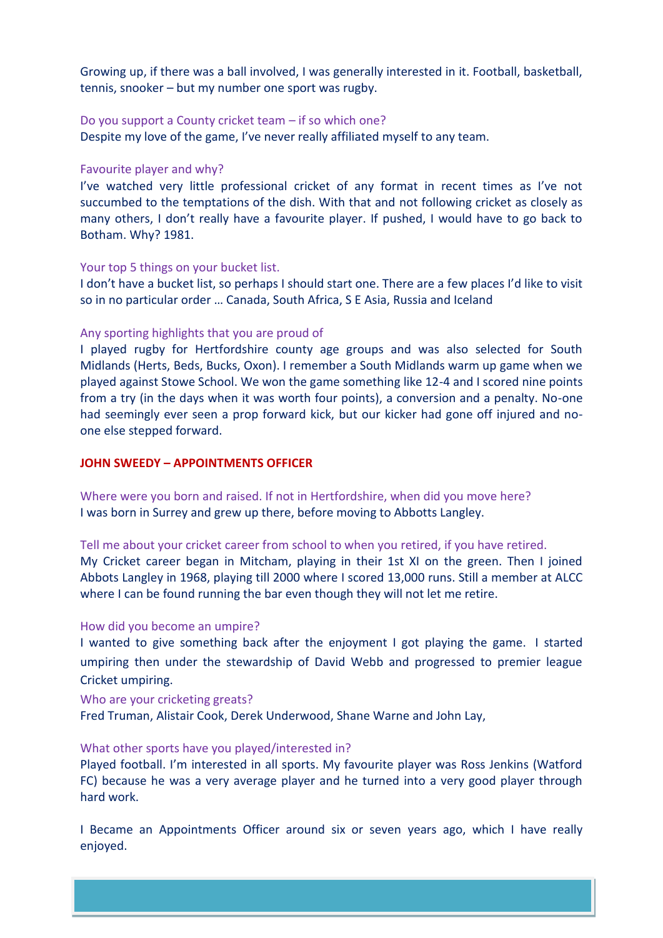Growing up, if there was a ball involved, I was generally interested in it. Football, basketball, tennis, snooker – but my number one sport was rugby.

#### Do you support a County cricket team – if so which one?

Despite my love of the game, I've never really affiliated myself to any team.

#### Favourite player and why?

I've watched very little professional cricket of any format in recent times as I've not succumbed to the temptations of the dish. With that and not following cricket as closely as many others, I don't really have a favourite player. If pushed, I would have to go back to Botham. Why? 1981.

#### Your top 5 things on your bucket list.

I don't have a bucket list, so perhaps I should start one. There are a few places I'd like to visit so in no particular order … Canada, South Africa, S E Asia, Russia and Iceland

#### Any sporting highlights that you are proud of

I played rugby for Hertfordshire county age groups and was also selected for South Midlands (Herts, Beds, Bucks, Oxon). I remember a South Midlands warm up game when we played against Stowe School. We won the game something like 12-4 and I scored nine points from a try (in the days when it was worth four points), a conversion and a penalty. No-one had seemingly ever seen a prop forward kick, but our kicker had gone off injured and noone else stepped forward.

## **JOHN SWEEDY – APPOINTMENTS OFFICER**

Where were you born and raised. If not in Hertfordshire, when did you move here? I was born in Surrey and grew up there, before moving to Abbotts Langley.

Tell me about your cricket career from school to when you retired, if you have retired. My Cricket career began in Mitcham, playing in their 1st XI on the green. Then I joined Abbots Langley in 1968, playing till 2000 where I scored 13,000 runs. Still a member at ALCC where I can be found running the bar even though they will not let me retire.

## How did you become an umpire?

I wanted to give something back after the enjoyment I got playing the game. I started umpiring then under the stewardship of David Webb and progressed to premier league Cricket umpiring.

#### Who are your cricketing greats?

Fred Truman, Alistair Cook, Derek Underwood, Shane Warne and John Lay,

#### What other sports have you played/interested in?

Played football. I'm interested in all sports. My favourite player was Ross Jenkins (Watford FC) because he was a very average player and he turned into a very good player through hard work.

I Became an Appointments Officer around six or seven years ago, which I have really enjoyed.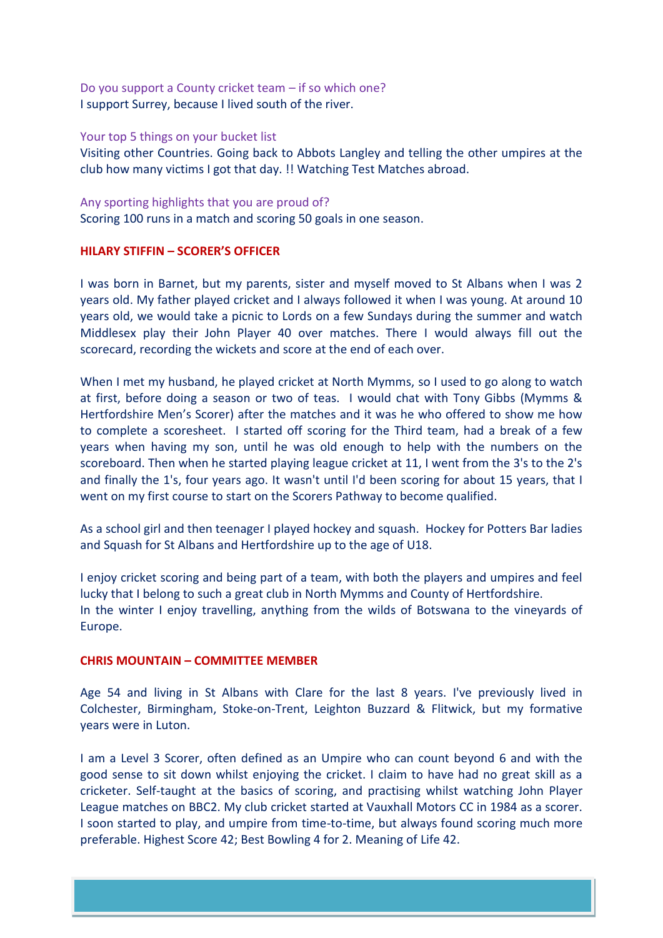Do you support a County cricket team – if so which one? I support Surrey, because I lived south of the river.

## Your top 5 things on your bucket list

Visiting other Countries. Going back to Abbots Langley and telling the other umpires at the club how many victims I got that day. !! Watching Test Matches abroad.

## Any sporting highlights that you are proud of?

Scoring 100 runs in a match and scoring 50 goals in one season.

# **HILARY STIFFIN – SCORER'S OFFICER**

I was born in Barnet, but my parents, sister and myself moved to St Albans when I was 2 years old. My father played cricket and I always followed it when I was young. At around 10 years old, we would take a picnic to Lords on a few Sundays during the summer and watch Middlesex play their John Player 40 over matches. There I would always fill out the scorecard, recording the wickets and score at the end of each over.

When I met my husband, he played cricket at North Mymms, so I used to go along to watch at first, before doing a season or two of teas. I would chat with Tony Gibbs (Mymms & Hertfordshire Men's Scorer) after the matches and it was he who offered to show me how to complete a scoresheet. I started off scoring for the Third team, had a break of a few years when having my son, until he was old enough to help with the numbers on the scoreboard. Then when he started playing league cricket at 11, I went from the 3's to the 2's and finally the 1's, four years ago. It wasn't until I'd been scoring for about 15 years, that I went on my first course to start on the Scorers Pathway to become qualified.

As a school girl and then teenager I played hockey and squash. Hockey for Potters Bar ladies and Squash for St Albans and Hertfordshire up to the age of U18.

I enjoy cricket scoring and being part of a team, with both the players and umpires and feel lucky that I belong to such a great club in North Mymms and County of Hertfordshire. In the winter I enjoy travelling, anything from the wilds of Botswana to the vineyards of Europe.

# **CHRIS MOUNTAIN – COMMITTEE MEMBER**

Age 54 and living in St Albans with Clare for the last 8 years. I've previously lived in Colchester, Birmingham, Stoke-on-Trent, Leighton Buzzard & Flitwick, but my formative years were in Luton.

I am a Level 3 Scorer, often defined as an Umpire who can count beyond 6 and with the good sense to sit down whilst enjoying the cricket. I claim to have had no great skill as a cricketer. Self-taught at the basics of scoring, and practising whilst watching John Player League matches on BBC2. My club cricket started at Vauxhall Motors CC in 1984 as a scorer. I soon started to play, and umpire from time-to-time, but always found scoring much more preferable. Highest Score 42; Best Bowling 4 for 2. Meaning of Life 42.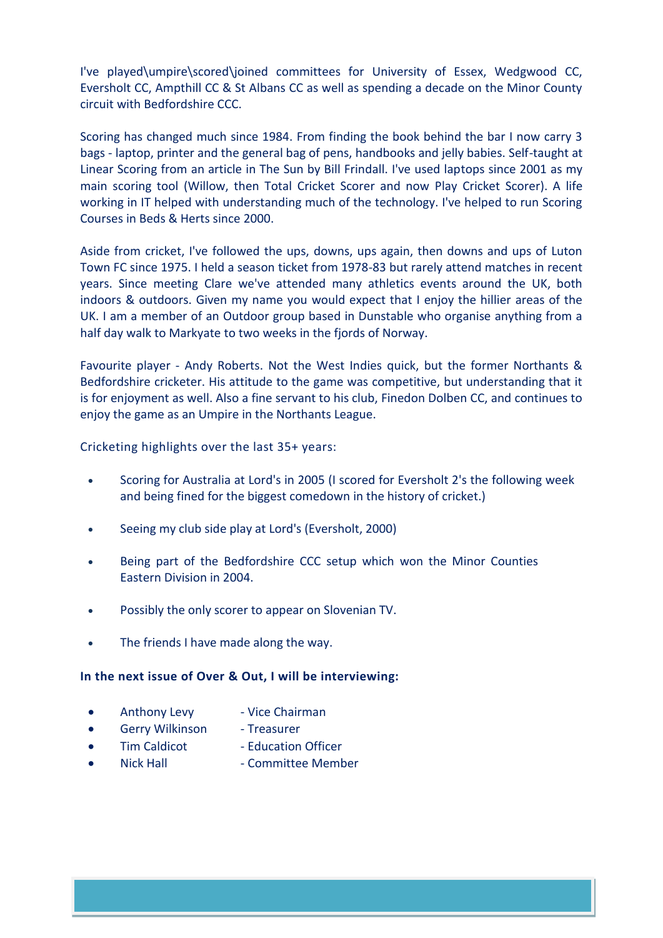I've played\umpire\scored\joined committees for University of Essex, Wedgwood CC, Eversholt CC, Ampthill CC & St Albans CC as well as spending a decade on the Minor County circuit with Bedfordshire CCC.

Scoring has changed much since 1984. From finding the book behind the bar I now carry 3 bags - laptop, printer and the general bag of pens, handbooks and jelly babies. Self-taught at Linear Scoring from an article in The Sun by Bill Frindall. I've used laptops since 2001 as my main scoring tool (Willow, then Total Cricket Scorer and now Play Cricket Scorer). A life working in IT helped with understanding much of the technology. I've helped to run Scoring Courses in Beds & Herts since 2000.

Aside from cricket, I've followed the ups, downs, ups again, then downs and ups of Luton Town FC since 1975. I held a season ticket from 1978-83 but rarely attend matches in recent years. Since meeting Clare we've attended many athletics events around the UK, both indoors & outdoors. Given my name you would expect that I enjoy the hillier areas of the UK. I am a member of an Outdoor group based in Dunstable who organise anything from a half day walk to Markyate to two weeks in the fjords of Norway.

Favourite player - Andy Roberts. Not the West Indies quick, but the former Northants & Bedfordshire cricketer. His attitude to the game was competitive, but understanding that it is for enjoyment as well. Also a fine servant to his club, Finedon Dolben CC, and continues to enjoy the game as an Umpire in the Northants League.

Cricketing highlights over the last 35+ years:

- Scoring for Australia at Lord's in 2005 (I scored for Eversholt 2's the following week and being fined for the biggest comedown in the history of cricket.)
- Seeing my club side play at Lord's (Eversholt, 2000)
- Being part of the Bedfordshire CCC setup which won the Minor Counties Eastern Division in 2004.
- Possibly the only scorer to appear on Slovenian TV.
- The friends I have made along the way.

# **In the next issue of Over & Out, I will be interviewing:**

- Anthony Levy Vice Chairman
	-
- Gerry Wilkinson Treasurer
- 
- Tim Caldicot Education Officer
	-
- - Nick Hall  **Committee Member**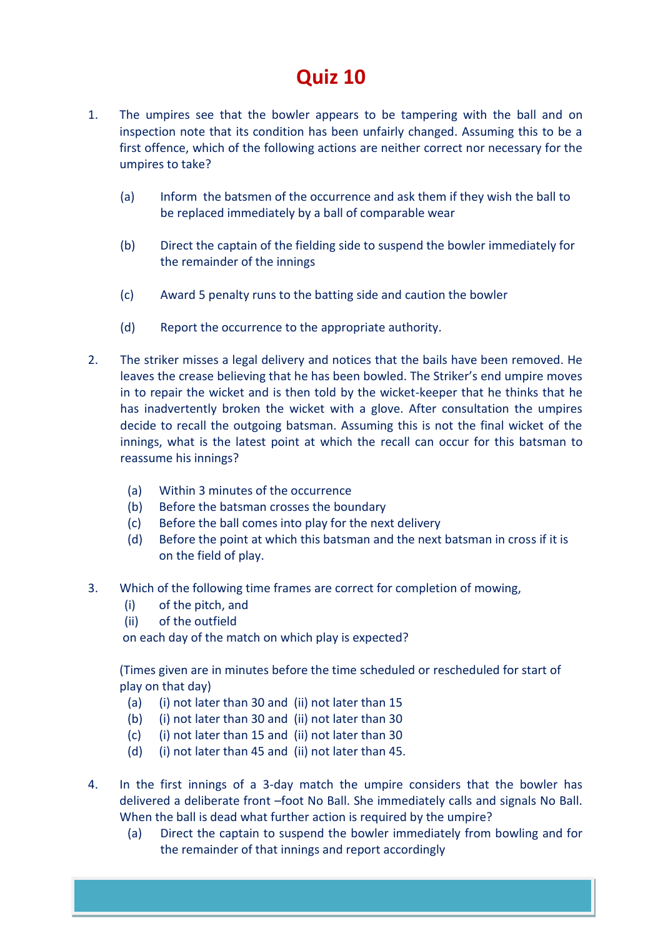# **Quiz 10**

- 1. The umpires see that the bowler appears to be tampering with the ball and on inspection note that its condition has been unfairly changed. Assuming this to be a first offence, which of the following actions are neither correct nor necessary for the umpires to take?
	- (a) Inform the batsmen of the occurrence and ask them if they wish the ball to be replaced immediately by a ball of comparable wear
	- (b) Direct the captain of the fielding side to suspend the bowler immediately for the remainder of the innings
	- (c) Award 5 penalty runs to the batting side and caution the bowler
	- (d) Report the occurrence to the appropriate authority.
- 2. The striker misses a legal delivery and notices that the bails have been removed. He leaves the crease believing that he has been bowled. The Striker's end umpire moves in to repair the wicket and is then told by the wicket-keeper that he thinks that he has inadvertently broken the wicket with a glove. After consultation the umpires decide to recall the outgoing batsman. Assuming this is not the final wicket of the innings, what is the latest point at which the recall can occur for this batsman to reassume his innings?
	- (a) Within 3 minutes of the occurrence
	- (b) Before the batsman crosses the boundary
	- (c) Before the ball comes into play for the next delivery
	- (d) Before the point at which this batsman and the next batsman in cross if it is on the field of play.
- 3. Which of the following time frames are correct for completion of mowing,
	- (i) of the pitch, and
	- (ii) of the outfield

on each day of the match on which play is expected?

(Times given are in minutes before the time scheduled or rescheduled for start of play on that day)

- (a) (i) not later than 30 and (ii) not later than 15
- (b) (i) not later than 30 and (ii) not later than 30
- (c) (i) not later than 15 and (ii) not later than 30
- (d) (i) not later than 45 and (ii) not later than 45.
- 4. In the first innings of a 3-day match the umpire considers that the bowler has delivered a deliberate front –foot No Ball. She immediately calls and signals No Ball. When the ball is dead what further action is required by the umpire?
	- (a) Direct the captain to suspend the bowler immediately from bowling and for the remainder of that innings and report accordingly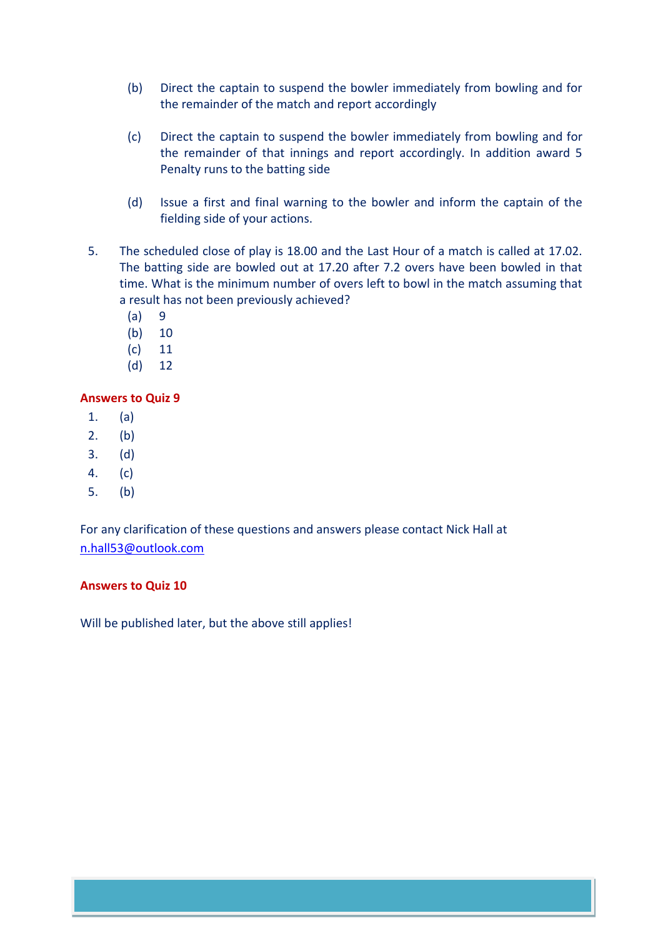- (b) Direct the captain to suspend the bowler immediately from bowling and for the remainder of the match and report accordingly
- (c) Direct the captain to suspend the bowler immediately from bowling and for the remainder of that innings and report accordingly. In addition award 5 Penalty runs to the batting side
- (d) Issue a first and final warning to the bowler and inform the captain of the fielding side of your actions.
- 5. The scheduled close of play is 18.00 and the Last Hour of a match is called at 17.02. The batting side are bowled out at 17.20 after 7.2 overs have been bowled in that time. What is the minimum number of overs left to bowl in the match assuming that a result has not been previously achieved?
	- (a) 9
	- (b) 10
	- (c) 11
	- (d) 12

# **Answers to Quiz 9**

- 1. (a)
- 2. (b)
- 3. (d)
- 4. (c)
- 5. (b)

For any clarification of these questions and answers please contact Nick Hall at [n.hall53@outlook.com](mailto:n.hall53@outlook.com)

# **Answers to Quiz 10**

Will be published later, but the above still applies!